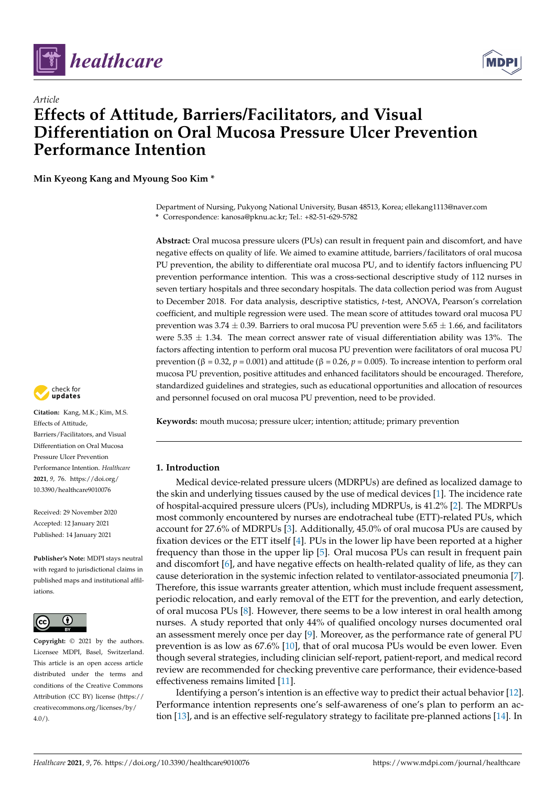

*Article*



# **Effects of Attitude, Barriers/Facilitators, and Visual Differentiation on Oral Mucosa Pressure Ulcer Prevention Performance Intention**

**Min Kyeong Kang and Myoung Soo Kim \***

Department of Nursing, Pukyong National University, Busan 48513, Korea; ellekang1113@naver.com **\*** Correspondence: kanosa@pknu.ac.kr; Tel.: +82-51-629-5782

**Abstract:** Oral mucosa pressure ulcers (PUs) can result in frequent pain and discomfort, and have negative effects on quality of life. We aimed to examine attitude, barriers/facilitators of oral mucosa PU prevention, the ability to differentiate oral mucosa PU, and to identify factors influencing PU prevention performance intention. This was a cross-sectional descriptive study of 112 nurses in seven tertiary hospitals and three secondary hospitals. The data collection period was from August to December 2018. For data analysis, descriptive statistics, *t*-test, ANOVA, Pearson's correlation coefficient, and multiple regression were used. The mean score of attitudes toward oral mucosa PU prevention was 3.74  $\pm$  0.39. Barriers to oral mucosa PU prevention were 5.65  $\pm$  1.66, and facilitators were 5.35  $\pm$  1.34. The mean correct answer rate of visual differentiation ability was 13%. The factors affecting intention to perform oral mucosa PU prevention were facilitators of oral mucosa PU prevention (β = 0.32, *p* = 0.001) and attitude (β = 0.26, *p* = 0.005). To increase intention to perform oral mucosa PU prevention, positive attitudes and enhanced facilitators should be encouraged. Therefore, standardized guidelines and strategies, such as educational opportunities and allocation of resources and personnel focused on oral mucosa PU prevention, need to be provided.

**Keywords:** mouth mucosa; pressure ulcer; intention; attitude; primary prevention

# **1. Introduction**

Medical device-related pressure ulcers (MDRPUs) are defined as localized damage to the skin and underlying tissues caused by the use of medical devices [\[1\]](#page-8-0). The incidence rate of hospital-acquired pressure ulcers (PUs), including MDRPUs, is 41.2% [\[2\]](#page-8-1). The MDRPUs most commonly encountered by nurses are endotracheal tube (ETT)-related PUs, which account for 27.6% of MDRPUs [\[3\]](#page-8-2). Additionally, 45.0% of oral mucosa PUs are caused by fixation devices or the ETT itself [\[4\]](#page-8-3). PUs in the lower lip have been reported at a higher frequency than those in the upper lip [\[5\]](#page-8-4). Oral mucosa PUs can result in frequent pain and discomfort [\[6\]](#page-8-5), and have negative effects on health-related quality of life, as they can cause deterioration in the systemic infection related to ventilator-associated pneumonia [\[7\]](#page-8-6). Therefore, this issue warrants greater attention, which must include frequent assessment, periodic relocation, and early removal of the ETT for the prevention, and early detection, of oral mucosa PUs [\[8\]](#page-8-7). However, there seems to be a low interest in oral health among nurses. A study reported that only 44% of qualified oncology nurses documented oral an assessment merely once per day [\[9\]](#page-8-8). Moreover, as the performance rate of general PU prevention is as low as 67.6% [\[10\]](#page-9-0), that of oral mucosa PUs would be even lower. Even though several strategies, including clinician self-report, patient-report, and medical record review are recommended for checking preventive care performance, their evidence-based effectiveness remains limited [\[11\]](#page-9-1).

Identifying a person's intention is an effective way to predict their actual behavior [\[12\]](#page-9-2). Performance intention represents one's self-awareness of one's plan to perform an action [\[13\]](#page-9-3), and is an effective self-regulatory strategy to facilitate pre-planned actions [\[14\]](#page-9-4). In



**Citation:** Kang, M.K.; Kim, M.S. Effects of Attitude, Barriers/Facilitators, and Visual Differentiation on Oral Mucosa Pressure Ulcer Prevention Performance Intention. *Healthcare* **2021**, *9*, 76. [https://doi.org/](https://doi.org/10.3390/healthcare9010076) [10.3390/healthcare9010076](https://doi.org/10.3390/healthcare9010076)

Received: 29 November 2020 Accepted: 12 January 2021 Published: 14 January 2021

**Publisher's Note:** MDPI stays neutral with regard to jurisdictional claims in published maps and institutional affiliations.



**Copyright:** © 2021 by the authors. Licensee MDPI, Basel, Switzerland. This article is an open access article distributed under the terms and conditions of the Creative Commons Attribution (CC BY) license (https:/[/](https://creativecommons.org/licenses/by/4.0/) [creativecommons.org/licenses/by/](https://creativecommons.org/licenses/by/4.0/)  $4.0/$ ).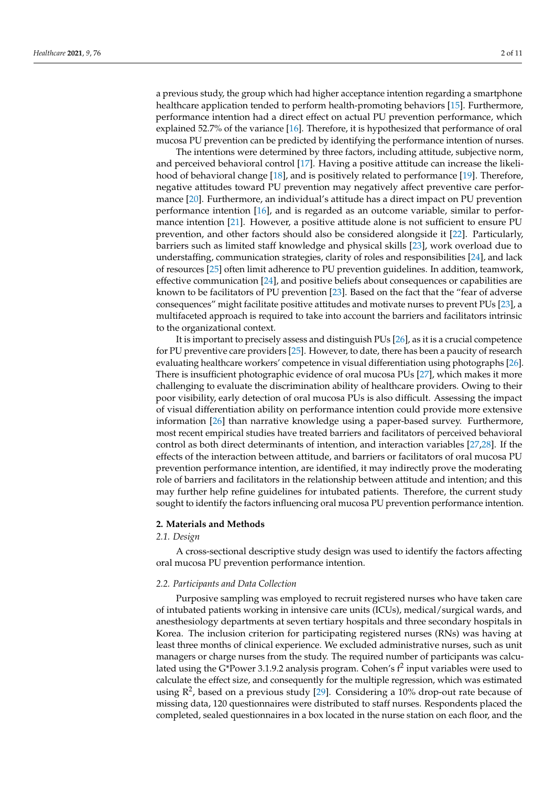a previous study, the group which had higher acceptance intention regarding a smartphone healthcare application tended to perform health-promoting behaviors [\[15\]](#page-9-5). Furthermore, performance intention had a direct effect on actual PU prevention performance, which explained 52.7% of the variance [\[16\]](#page-9-6). Therefore, it is hypothesized that performance of oral mucosa PU prevention can be predicted by identifying the performance intention of nurses.

The intentions were determined by three factors, including attitude, subjective norm, and perceived behavioral control [\[17\]](#page-9-7). Having a positive attitude can increase the likelihood of behavioral change [\[18\]](#page-9-8), and is positively related to performance [\[19\]](#page-9-9). Therefore, negative attitudes toward PU prevention may negatively affect preventive care performance [\[20\]](#page-9-10). Furthermore, an individual's attitude has a direct impact on PU prevention performance intention [\[16\]](#page-9-6), and is regarded as an outcome variable, similar to performance intention [\[21\]](#page-9-11). However, a positive attitude alone is not sufficient to ensure PU prevention, and other factors should also be considered alongside it [\[22\]](#page-9-12). Particularly, barriers such as limited staff knowledge and physical skills [\[23\]](#page-9-13), work overload due to understaffing, communication strategies, clarity of roles and responsibilities [\[24\]](#page-9-14), and lack of resources [\[25\]](#page-9-15) often limit adherence to PU prevention guidelines. In addition, teamwork, effective communication [\[24\]](#page-9-14), and positive beliefs about consequences or capabilities are known to be facilitators of PU prevention [\[23\]](#page-9-13). Based on the fact that the "fear of adverse consequences" might facilitate positive attitudes and motivate nurses to prevent PUs [\[23\]](#page-9-13), a multifaceted approach is required to take into account the barriers and facilitators intrinsic to the organizational context.

It is important to precisely assess and distinguish PUs [\[26\]](#page-9-16), as it is a crucial competence for PU preventive care providers [\[25\]](#page-9-15). However, to date, there has been a paucity of research evaluating healthcare workers' competence in visual differentiation using photographs [\[26\]](#page-9-16). There is insufficient photographic evidence of oral mucosa PUs [\[27\]](#page-9-17), which makes it more challenging to evaluate the discrimination ability of healthcare providers. Owing to their poor visibility, early detection of oral mucosa PUs is also difficult. Assessing the impact of visual differentiation ability on performance intention could provide more extensive information [\[26\]](#page-9-16) than narrative knowledge using a paper-based survey. Furthermore, most recent empirical studies have treated barriers and facilitators of perceived behavioral control as both direct determinants of intention, and interaction variables [\[27](#page-9-17)[,28\]](#page-9-18). If the effects of the interaction between attitude, and barriers or facilitators of oral mucosa PU prevention performance intention, are identified, it may indirectly prove the moderating role of barriers and facilitators in the relationship between attitude and intention; and this may further help refine guidelines for intubated patients. Therefore, the current study sought to identify the factors influencing oral mucosa PU prevention performance intention.

# **2. Materials and Methods**

# *2.1. Design*

A cross-sectional descriptive study design was used to identify the factors affecting oral mucosa PU prevention performance intention.

#### *2.2. Participants and Data Collection*

Purposive sampling was employed to recruit registered nurses who have taken care of intubated patients working in intensive care units (ICUs), medical/surgical wards, and anesthesiology departments at seven tertiary hospitals and three secondary hospitals in Korea. The inclusion criterion for participating registered nurses (RNs) was having at least three months of clinical experience. We excluded administrative nurses, such as unit managers or charge nurses from the study. The required number of participants was calculated using the G\*Power 3.1.9.2 analysis program. Cohen's  $f^2$  input variables were used to calculate the effect size, and consequently for the multiple regression, which was estimated using  $R^2$ , based on a previous study [\[29\]](#page-9-19). Considering a 10% drop-out rate because of missing data, 120 questionnaires were distributed to staff nurses. Respondents placed the completed, sealed questionnaires in a box located in the nurse station on each floor, and the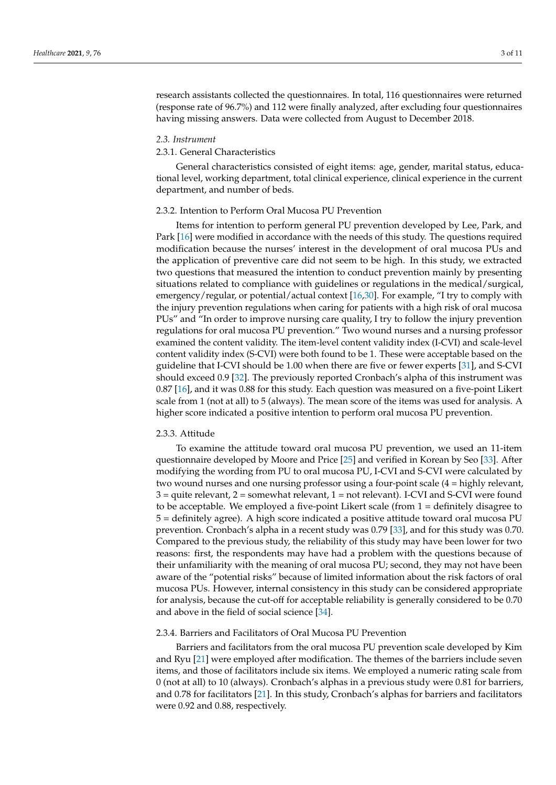research assistants collected the questionnaires. In total, 116 questionnaires were returned (response rate of 96.7%) and 112 were finally analyzed, after excluding four questionnaires having missing answers. Data were collected from August to December 2018.

#### *2.3. Instrument*

#### 2.3.1. General Characteristics

General characteristics consisted of eight items: age, gender, marital status, educational level, working department, total clinical experience, clinical experience in the current department, and number of beds.

#### 2.3.2. Intention to Perform Oral Mucosa PU Prevention

Items for intention to perform general PU prevention developed by Lee, Park, and Park [\[16\]](#page-9-6) were modified in accordance with the needs of this study. The questions required modification because the nurses' interest in the development of oral mucosa PUs and the application of preventive care did not seem to be high. In this study, we extracted two questions that measured the intention to conduct prevention mainly by presenting situations related to compliance with guidelines or regulations in the medical/surgical, emergency/regular, or potential/actual context [\[16](#page-9-6)[,30\]](#page-9-20). For example, "I try to comply with the injury prevention regulations when caring for patients with a high risk of oral mucosa PUs" and "In order to improve nursing care quality, I try to follow the injury prevention regulations for oral mucosa PU prevention." Two wound nurses and a nursing professor examined the content validity. The item-level content validity index (I-CVI) and scale-level content validity index (S-CVI) were both found to be 1. These were acceptable based on the guideline that I-CVI should be 1.00 when there are five or fewer experts [\[31\]](#page-9-21), and S-CVI should exceed 0.9 [\[32\]](#page-9-22). The previously reported Cronbach's alpha of this instrument was 0.87 [\[16\]](#page-9-6), and it was 0.88 for this study. Each question was measured on a five-point Likert scale from 1 (not at all) to 5 (always). The mean score of the items was used for analysis. A higher score indicated a positive intention to perform oral mucosa PU prevention.

#### 2.3.3. Attitude

To examine the attitude toward oral mucosa PU prevention, we used an 11-item questionnaire developed by Moore and Price [\[25\]](#page-9-15) and verified in Korean by Seo [\[33\]](#page-9-23). After modifying the wording from PU to oral mucosa PU, I-CVI and S-CVI were calculated by two wound nurses and one nursing professor using a four-point scale (4 = highly relevant, 3 = quite relevant, 2 = somewhat relevant, 1 = not relevant). I-CVI and S-CVI were found to be acceptable. We employed a five-point Likert scale (from 1 = definitely disagree to 5 = definitely agree). A high score indicated a positive attitude toward oral mucosa PU prevention. Cronbach's alpha in a recent study was 0.79 [\[33\]](#page-9-23), and for this study was 0.70. Compared to the previous study, the reliability of this study may have been lower for two reasons: first, the respondents may have had a problem with the questions because of their unfamiliarity with the meaning of oral mucosa PU; second, they may not have been aware of the "potential risks" because of limited information about the risk factors of oral mucosa PUs. However, internal consistency in this study can be considered appropriate for analysis, because the cut-off for acceptable reliability is generally considered to be 0.70 and above in the field of social science [\[34\]](#page-9-24).

#### 2.3.4. Barriers and Facilitators of Oral Mucosa PU Prevention

Barriers and facilitators from the oral mucosa PU prevention scale developed by Kim and Ryu [\[21\]](#page-9-11) were employed after modification. The themes of the barriers include seven items, and those of facilitators include six items. We employed a numeric rating scale from 0 (not at all) to 10 (always). Cronbach's alphas in a previous study were 0.81 for barriers, and 0.78 for facilitators [\[21\]](#page-9-11). In this study, Cronbach's alphas for barriers and facilitators were 0.92 and 0.88, respectively.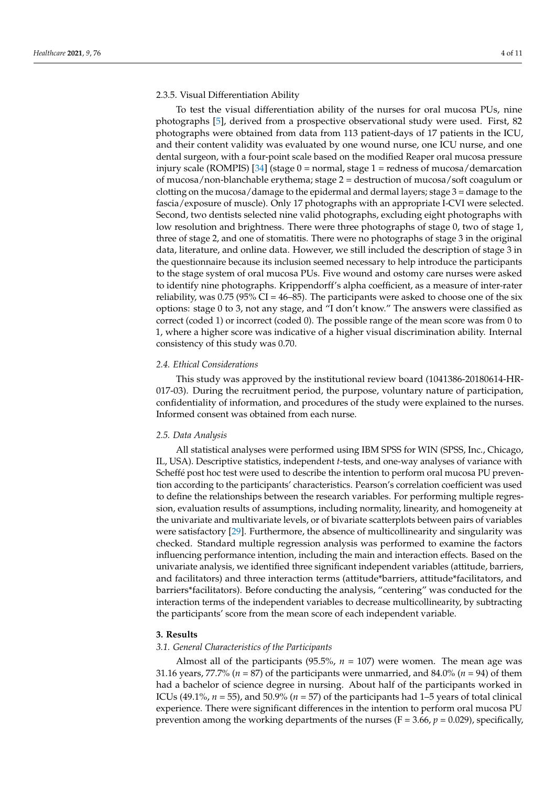#### 2.3.5. Visual Differentiation Ability

To test the visual differentiation ability of the nurses for oral mucosa PUs, nine photographs [\[5\]](#page-8-4), derived from a prospective observational study were used. First, 82 photographs were obtained from data from 113 patient-days of 17 patients in the ICU, and their content validity was evaluated by one wound nurse, one ICU nurse, and one dental surgeon, with a four-point scale based on the modified Reaper oral mucosa pressure injury scale (ROMPIS) [\[34\]](#page-9-24) (stage  $0 = normal$ , stage  $1 = redness$  of mucosa/demarcation of mucosa/non-blanchable erythema; stage 2 = destruction of mucosa/soft coagulum or clotting on the mucosa/damage to the epidermal and dermal layers; stage 3 = damage to the fascia/exposure of muscle). Only 17 photographs with an appropriate I-CVI were selected. Second, two dentists selected nine valid photographs, excluding eight photographs with low resolution and brightness. There were three photographs of stage 0, two of stage 1, three of stage 2, and one of stomatitis. There were no photographs of stage 3 in the original data, literature, and online data. However, we still included the description of stage 3 in the questionnaire because its inclusion seemed necessary to help introduce the participants to the stage system of oral mucosa PUs. Five wound and ostomy care nurses were asked to identify nine photographs. Krippendorff's alpha coefficient, as a measure of inter-rater reliability, was  $0.75$  (95% CI = 46–85). The participants were asked to choose one of the six options: stage 0 to 3, not any stage, and "I don't know." The answers were classified as correct (coded 1) or incorrect (coded 0). The possible range of the mean score was from 0 to 1, where a higher score was indicative of a higher visual discrimination ability. Internal consistency of this study was 0.70.

#### *2.4. Ethical Considerations*

This study was approved by the institutional review board (1041386-20180614-HR-017-03). During the recruitment period, the purpose, voluntary nature of participation, confidentiality of information, and procedures of the study were explained to the nurses. Informed consent was obtained from each nurse.

#### *2.5. Data Analysis*

All statistical analyses were performed using IBM SPSS for WIN (SPSS, Inc., Chicago, IL, USA). Descriptive statistics, independent *t*-tests, and one-way analyses of variance with Scheffé post hoc test were used to describe the intention to perform oral mucosa PU prevention according to the participants' characteristics. Pearson's correlation coefficient was used to define the relationships between the research variables. For performing multiple regression, evaluation results of assumptions, including normality, linearity, and homogeneity at the univariate and multivariate levels, or of bivariate scatterplots between pairs of variables were satisfactory [\[29\]](#page-9-19). Furthermore, the absence of multicollinearity and singularity was checked. Standard multiple regression analysis was performed to examine the factors influencing performance intention, including the main and interaction effects. Based on the univariate analysis, we identified three significant independent variables (attitude, barriers, and facilitators) and three interaction terms (attitude\*barriers, attitude\*facilitators, and barriers\*facilitators). Before conducting the analysis, "centering" was conducted for the interaction terms of the independent variables to decrease multicollinearity, by subtracting the participants' score from the mean score of each independent variable.

#### **3. Results**

#### *3.1. General Characteristics of the Participants*

Almost all of the participants (95.5%,  $n = 107$ ) were women. The mean age was 31.16 years, 77.7% (*n* = 87) of the participants were unmarried, and 84.0% (*n* = 94) of them had a bachelor of science degree in nursing. About half of the participants worked in ICUs (49.1%,  $n = 55$ ), and 50.9% ( $n = 57$ ) of the participants had 1–5 years of total clinical experience. There were significant differences in the intention to perform oral mucosa PU prevention among the working departments of the nurses ( $F = 3.66$ ,  $p = 0.029$ ), specifically,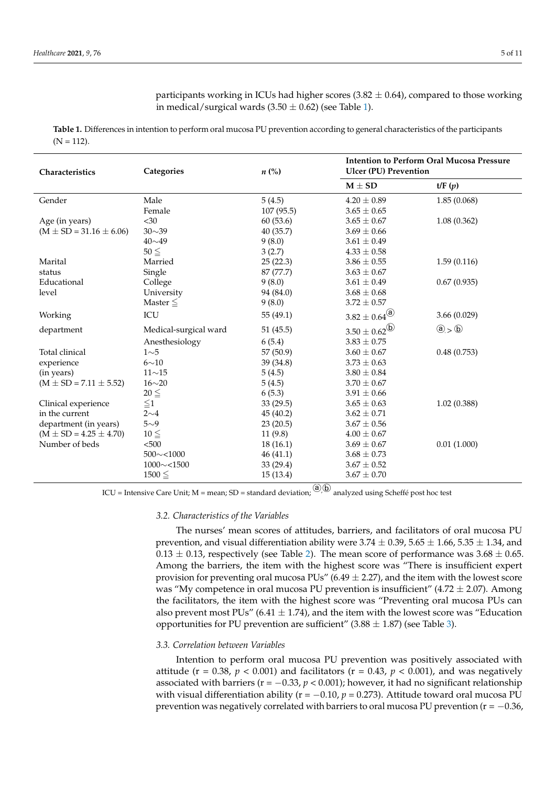$\mathcal{M}$  ,  $\mathcal{M}$  ,  $\mathcal{M}$  ,  $\mathcal{M}$  ,  $\mathcal{M}$  ,  $\mathcal{M}$  ,  $\mathcal{M}$  ,  $\mathcal{M}$  ,  $\mathcal{M}$  ,  $\mathcal{M}$  ,  $\mathcal{M}$  ,  $\mathcal{M}$  ,  $\mathcal{M}$  ,  $\mathcal{M}$  ,  $\mathcal{M}$  ,  $\mathcal{M}$  ,  $\mathcal{M}$  ,  $\mathcal{M}$  ,  $\mathcal{M}$  ,  $\mathcal{M}$  ,

 $\mathcal{M}$  ,  $\mathcal{M}$  ,  $\mathcal{M}$  ,  $\mathcal{M}$  ,  $\mathcal{M}$  ,  $\mathcal{M}$  ,  $\mathcal{M}$  ,  $\mathcal{M}$  ,  $\mathcal{M}$  ,  $\mathcal{M}$  ,  $\mathcal{M}$  ,  $\mathcal{M}$  ,  $\mathcal{M}$  ,  $\mathcal{M}$  ,  $\mathcal{M}$  ,  $\mathcal{M}$  ,  $\mathcal{M}$  ,  $\mathcal{M}$  ,  $\mathcal{M}$  ,  $\mathcal{M}$  ,

<span id="page-4-0"></span>Table 1. Differences in intention to perform oral mucosa PU prevention according to general characteristics of the participants  $(N = 112)$ .  $\frac{1}{\sqrt{2}}$  $\frac{1}{\sqrt{2}}$  (51.5)  $\frac{1}{\sqrt{2}}$  (51.5)  $\frac{1}{\sqrt{2}}$  (51.5)  $\frac{1}{\sqrt{2}}$  (51.5)  $\frac{1}{\sqrt{2}}$  $\alpha$   $\beta$ **Characteristics C**  $\mathbf{r}_1$  **C**  $\mathbf{r}_2$  ( $\mathbf{r}_3$  ( $\mathbf{r}_4$ ) **Constants** *n* ( $\mathbf{r}_5$ ) *n* ( $\mathbf{r}_6$ ) *n* ( $\mathbf{r}_7$ ) *n* ( $\mathbf{r}_8$ ) *n* ( $\mathbf{r}_9$ ) *n* ( $\mathbf{r}_9$ ) *n* ( $\mathbf{r}_9$ ) *n* ( $\mathbf{r}_9$ *M*  $\alpha$  **b** 

Marital Marital Marital Marital Marital Marital Mar $\mathcal{L}$  ,  $\mathcal{L}$ 

status Single 87 (77.7) 3.63 ± 0.67

in medical/surgical wards (3.50 ± 0.62) (see Table 1).

in medical/surgical wards (3.50 ± 0.62) (see Table 1).

| Characteristics               | Categories            | $n\ (\%)$  |                                                         | <b>Intention to Perform Oral Mucosa Pressure</b><br><b>Ulcer (PU) Prevention</b> |  |  |
|-------------------------------|-----------------------|------------|---------------------------------------------------------|----------------------------------------------------------------------------------|--|--|
|                               |                       |            | $\mathbf{M}\pm\mathbf{SD}$                              | t/F(p)                                                                           |  |  |
| Gender                        | Male                  | 5(4.5)     | $4.20 \pm 0.89$                                         | 1.85(0.068)                                                                      |  |  |
|                               | Female                | 107 (95.5) | $3.65 \pm 0.65$                                         |                                                                                  |  |  |
| Age (in years)                | $<$ 30                | 60(53.6)   | $3.65 \pm 0.67$                                         | 1.08(0.362)                                                                      |  |  |
| $(M \pm SD = 31.16 \pm 6.06)$ | $30 \sim 39$          | 40 (35.7)  | $3.69 \pm 0.66$                                         |                                                                                  |  |  |
|                               | $40 \sim 49$          | 9(8.0)     | $3.61 \pm 0.49$                                         |                                                                                  |  |  |
|                               | $50 \leq$             | 3(2.7)     | $4.33 \pm 0.58$                                         |                                                                                  |  |  |
| Marital                       | Married               | 25(22.3)   | $3.86 \pm 0.55$                                         | 1.59(0.116)                                                                      |  |  |
| status                        | Single                | 87 (77.7)  | $3.63 \pm 0.67$                                         |                                                                                  |  |  |
| Educational                   | College               | 9(8.0)     | $3.61 \pm 0.49$                                         | 0.67(0.935)                                                                      |  |  |
| level                         | University            | 94 (84.0)  | $3.68 \pm 0.68$                                         |                                                                                  |  |  |
|                               | Master $\leq$         | 9(8.0)     | $3.72 \pm 0.57$                                         |                                                                                  |  |  |
| Working                       | $\rm{ICU}$            | 55 (49.1)  | $3.82 \pm 0.64^{\textcircled{\textcircled{\small{a}}}}$ | 3.66(0.029)                                                                      |  |  |
| department                    | Medical-surgical ward | 51 (45.5)  | $3.50\pm0.62^{\textcircled{\textrm{b}}}$                | $\textcircled{a}$ > $\textcircled{b}$                                            |  |  |
|                               | Anesthesiology        | 6(5.4)     | $3.83 \pm 0.75$                                         |                                                                                  |  |  |
| Total clinical                | 1 <sub>0</sub> 5      | 57 (50.9)  | $3.60 \pm 0.67$                                         | 0.48(0.753)                                                                      |  |  |
| experience                    | $6 \sim 10$           | 39 (34.8)  | $3.73 \pm 0.63$                                         |                                                                                  |  |  |
| (in years)                    | $11 \sim 15$          | 5(4.5)     | $3.80 \pm 0.84$                                         |                                                                                  |  |  |
| $(M \pm SD = 7.11 \pm 5.52)$  | $16 \sim 20$          | 5(4.5)     | $3.70 \pm 0.67$                                         |                                                                                  |  |  |
|                               | $20 \leq$             | 6(5.3)     | $3.91 \pm 0.66$                                         |                                                                                  |  |  |
| Clinical experience           | $\leq1$               | 33(29.5)   | $3.65 \pm 0.63$                                         | 1.02(0.388)                                                                      |  |  |
| in the current                | $2\sim4$              | 45 (40.2)  | $3.62 \pm 0.71$                                         |                                                                                  |  |  |
| department (in years)         | $5\sim9$              | 23(20.5)   | $3.67 \pm 0.56$                                         |                                                                                  |  |  |
| $(M \pm SD = 4.25 \pm 4.70)$  | $10 \leq$             | 11(9.8)    | $4.00 \pm 0.67$                                         |                                                                                  |  |  |
| Number of beds                | < 500                 | 18(16.1)   | $3.69 \pm 0.67$                                         | 0.01(1.000)                                                                      |  |  |
|                               | $500 \sim 1000$       | 46(41.1)   | $3.68 \pm 0.73$                                         |                                                                                  |  |  |
|                               | $1000 \sim 1500$      | 33 (29.4)  | $3.67 \pm 0.52$                                         |                                                                                  |  |  |
|                               | $1500 \leq$           | 15(13.4)   | $3.67 \pm 0.70$                                         |                                                                                  |  |  |

ICU = Intensive Care Unit; M = mean; SD = standard deviation;  $\overset{(a)}{\oplus}$  analyzed using Scheffé post hoc test

# *3.2. Characteristics of the Variables 3.2. Characteristics of the Variables 3.2. Characteristics of the Variables*

The nurses' mean scores of attitudes, barriers, and facilitators of oral mucosa PU prevention, and visual differentiation ability were  $3.74 \pm 0.39$ ,  $5.65 \pm 1.66$ ,  $5.35 \pm 1.34$ , and  $0.13 \pm 0.13$ , respectively (see Table [2\)](#page-5-0). The mean score of performance was  $3.68 \pm 0.65$ . Among the barriers, the item with the highest score was "There is insufficient expert provision for preventing oral mucosa PUs" (6.49  $\pm$  2.27), and the item with the lowest score was "My competence in oral mucosa PU prevention is insufficient" (4.72  $\pm$  2.07). Among the facilitators, the item with the highest score was "Preventing oral mucosa PUs can also prevent most PUs" (6.41  $\pm$  1.74), and the item with the lowest score was "Education opportunities for PU prevention are sufficient"  $(3.88 \pm 1.87)$  (see Table [3\)](#page-5-1).

#### *3.3. Correlation between Variables*

Intention to perform oral mucosa PU prevention was positively associated with attitude ( $r = 0.38$ ,  $p < 0.001$ ) and facilitators ( $r = 0.43$ ,  $p < 0.001$ ), and was negatively associated with barriers ( $r = -0.33$ ,  $p < 0.001$ ); however, it had no significant relationship with visual differentiation ability ( $r = -0.10$ ,  $p = 0.273$ ). Attitude toward oral mucosa PU prevention was negatively correlated with barriers to oral mucosa PU prevention ( $r = -0.36$ ,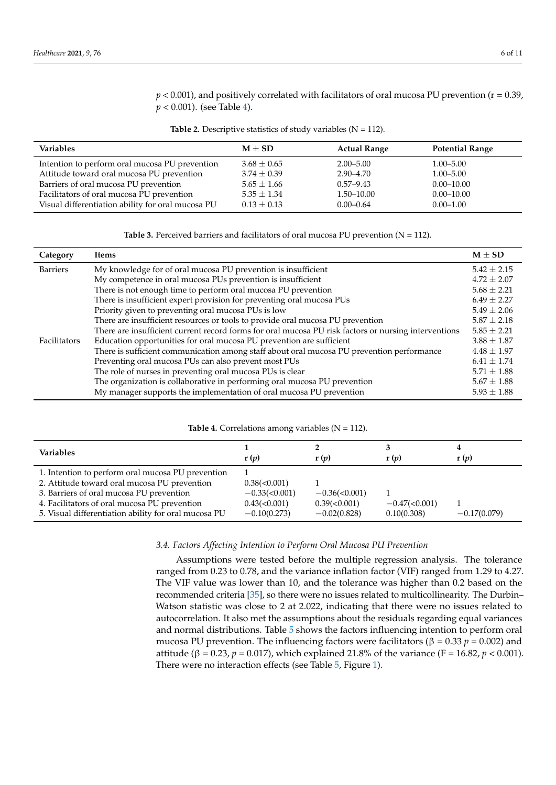$p < 0.001$ ), and positively correlated with facilitators of oral mucosa PU prevention ( $r = 0.39$ , *p* < 0.001). (see Table [4\)](#page-5-2).

|  | Table 2. Descriptive statistics of study variables $(N = 112)$ . |  |  |  |  |  |
|--|------------------------------------------------------------------|--|--|--|--|--|
|--|------------------------------------------------------------------|--|--|--|--|--|

<span id="page-5-0"></span>

| <b>Variables</b>                                  | $M \pm SD$      | <b>Actual Range</b> | <b>Potential Range</b> |
|---------------------------------------------------|-----------------|---------------------|------------------------|
| Intention to perform oral mucosa PU prevention    | $3.68 \pm 0.65$ | $2.00 - 5.00$       | $1.00 - 5.00$          |
| Attitude toward oral mucosa PU prevention         | $3.74 \pm 0.39$ | $2.90 - 4.70$       | $1.00 - 5.00$          |
| Barriers of oral mucosa PU prevention             | $5.65 \pm 1.66$ | $0.57 - 9.43$       | $0.00 - 10.00$         |
| Facilitators of oral mucosa PU prevention         | $5.35 \pm 1.34$ | 1.50–10.00          | $0.00 - 10.00$         |
| Visual differentiation ability for oral mucosa PU | $0.13 \pm 0.13$ | $0.00 - 0.64$       | $0.00 - 1.00$          |

**Table 3.** Perceived barriers and facilitators of oral mucosa PU prevention ( $N = 112$ ).

<span id="page-5-1"></span>

| Category        | Items                                                                                                | $M \pm SD$      |  |  |  |
|-----------------|------------------------------------------------------------------------------------------------------|-----------------|--|--|--|
| <b>Barriers</b> | My knowledge for of oral mucosa PU prevention is insufficient                                        |                 |  |  |  |
|                 | My competence in oral mucosa PUs prevention is insufficient                                          | $4.72 \pm 2.07$ |  |  |  |
|                 | There is not enough time to perform oral mucosa PU prevention                                        |                 |  |  |  |
|                 | There is insufficient expert provision for preventing oral mucosa PUs                                | $6.49 \pm 2.27$ |  |  |  |
|                 | Priority given to preventing oral mucosa PUs is low                                                  | $5.49 \pm 2.06$ |  |  |  |
|                 | There are insufficient resources or tools to provide oral mucosa PU prevention                       | $5.87 + 2.18$   |  |  |  |
|                 | There are insufficient current record forms for oral mucosa PU risk factors or nursing interventions | $5.85 \pm 2.21$ |  |  |  |
| Facilitators    | Education opportunities for oral mucosa PU prevention are sufficient                                 | $3.88 \pm 1.87$ |  |  |  |
|                 | There is sufficient communication among staff about oral mucosa PU prevention performance            | $4.48 \pm 1.97$ |  |  |  |
|                 | Preventing oral mucosa PUs can also prevent most PUs                                                 | $6.41 \pm 1.74$ |  |  |  |
|                 | The role of nurses in preventing oral mucosa PUs is clear                                            | $5.71 \pm 1.88$ |  |  |  |
|                 | The organization is collaborative in performing oral mucosa PU prevention                            | $5.67 \pm 1.88$ |  |  |  |
|                 | My manager supports the implementation of oral mucosa PU prevention                                  | $5.93 \pm 1.88$ |  |  |  |

#### **Table 4.** Correlations among variables  $(N = 112)$ .

<span id="page-5-2"></span>

| <b>Variables</b>                                                                                                                                 | r(p)                                                     | r(p)                                                       | r(p)                            | r(p)           |
|--------------------------------------------------------------------------------------------------------------------------------------------------|----------------------------------------------------------|------------------------------------------------------------|---------------------------------|----------------|
| 1. Intention to perform oral mucosa PU prevention<br>2. Attitude toward oral mucosa PU prevention                                                | $0.38 \times 0.001$                                      |                                                            |                                 |                |
| 3. Barriers of oral mucosa PU prevention<br>4. Facilitators of oral mucosa PU prevention<br>5. Visual differentiation ability for oral mucosa PU | $-0.33(-0.001)$<br>$0.43 \times 0.001$<br>$-0.10(0.273)$ | $-0.36 \le 0.001$<br>$0.39 \times 0.001$<br>$-0.02(0.828)$ | $-0.47(<0.001$ )<br>0.10(0.308) | $-0.17(0.079)$ |

# *3.4. Factors Affecting Intention to Perform Oral Mucosa PU Prevention*

Assumptions were tested before the multiple regression analysis. The tolerance ranged from 0.23 to 0.78, and the variance inflation factor (VIF) ranged from 1.29 to 4.27. The VIF value was lower than 10, and the tolerance was higher than 0.2 based on the recommended criteria [\[35\]](#page-9-25), so there were no issues related to multicollinearity. The Durbin– Watson statistic was close to 2 at 2.022, indicating that there were no issues related to autocorrelation. It also met the assumptions about the residuals regarding equal variances and normal distributions. Table [5](#page-6-0) shows the factors influencing intention to perform oral mucosa PU prevention. The influencing factors were facilitators ( $β = 0.33 p = 0.002$ ) and attitude (β = 0.23, *p* = 0.017), which explained 21.8% of the variance (F = 16.82, *p* < 0.001). There were no interaction effects (see Table [5,](#page-6-0) Figure [1\)](#page-6-1).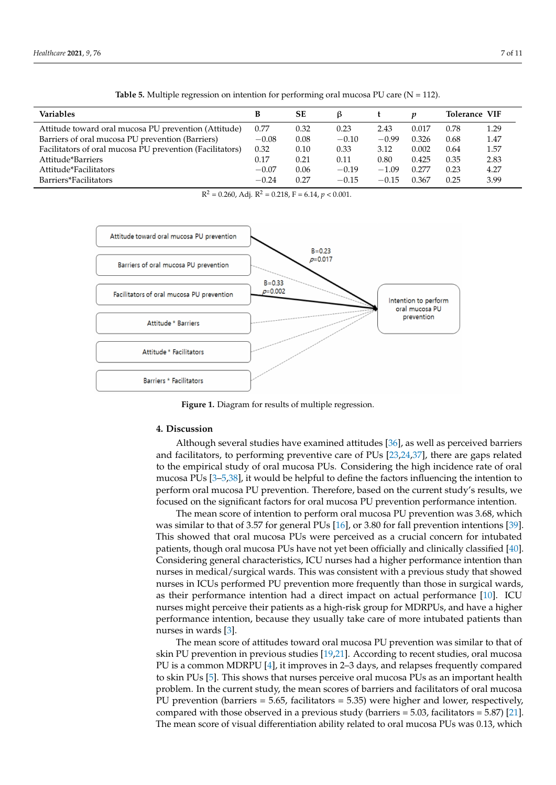<span id="page-6-0"></span>

| <b>Variables</b>                                         | B       | <b>SE</b> |         |         |       | Tolerance VIF |      |
|----------------------------------------------------------|---------|-----------|---------|---------|-------|---------------|------|
| Attitude toward oral mucosa PU prevention (Attitude)     | 0.77    | 0.32      | 0.23    | 2.43    | 0.017 | 0.78          | 1.29 |
| Barriers of oral mucosa PU prevention (Barriers)         | $-0.08$ | 0.08      | $-0.10$ | $-0.99$ | 0.326 | 0.68          | 1.47 |
| Facilitators of oral mucosa PU prevention (Facilitators) | 0.32    | 0.10      | 0.33    | 3.12    | 0.002 | 0.64          | 1.57 |
| Attitude*Barriers                                        | 0.17    | 0.21      | 0.11    | 0.80    | 0.425 | 0.35          | 2.83 |
| Attitude*Facilitators                                    | $-0.07$ | 0.06      | $-0.19$ | $-1.09$ | 0.277 | 0.23          | 4.27 |
| Barriers*Facilitators                                    | $-0.24$ | 0.27      | $-0.15$ | $-0.15$ | 0.367 | 0.25          | 3.99 |

**Table 5.** Multiple regression on intention for performing oral mucosa PU care  $(N = 112)$ .



<span id="page-6-1"></span>

**Figure 1.** Diagram for results of multiple regression.

#### **4. Discussion**

Although several studies have examined attitudes [\[36\]](#page-9-26), as well as perceived barriers and facilitators, to performing preventive care of PUs [\[23](#page-9-13)[,24](#page-9-14)[,37\]](#page-9-27), there are gaps related to the empirical study of oral mucosa PUs. Considering the high incidence rate of oral mucosa PUs [\[3](#page-8-2)[–5](#page-8-4)[,38\]](#page-9-28), it would be helpful to define the factors influencing the intention to perform oral mucosa PU prevention. Therefore, based on the current study's results, we focused on the significant factors for oral mucosa PU prevention performance intention.

The mean score of intention to perform oral mucosa PU prevention was 3.68, which was similar to that of 3.57 for general PUs [\[16\]](#page-9-6), or 3.80 for fall prevention intentions [\[39\]](#page-9-29). This showed that oral mucosa PUs were perceived as a crucial concern for intubated patients, though oral mucosa PUs have not yet been officially and clinically classified [\[40\]](#page-9-30). Considering general characteristics, ICU nurses had a higher performance intention than nurses in medical/surgical wards. This was consistent with a previous study that showed nurses in ICUs performed PU prevention more frequently than those in surgical wards, as their performance intention had a direct impact on actual performance [\[10\]](#page-9-0). ICU nurses might perceive their patients as a high-risk group for MDRPUs, and have a higher performance intention, because they usually take care of more intubated patients than nurses in wards [\[3\]](#page-8-2).

The mean score of attitudes toward oral mucosa PU prevention was similar to that of skin PU prevention in previous studies [\[19,](#page-9-9)[21\]](#page-9-11). According to recent studies, oral mucosa PU is a common MDRPU [\[4\]](#page-8-3), it improves in 2–3 days, and relapses frequently compared to skin PUs [\[5\]](#page-8-4). This shows that nurses perceive oral mucosa PUs as an important health problem. In the current study, the mean scores of barriers and facilitators of oral mucosa PU prevention (barriers  $= 5.65$ , facilitators  $= 5.35$ ) were higher and lower, respectively, compared with those observed in a previous study (barriers  $= 5.03$ , facilitators  $= 5.87$ ) [\[21\]](#page-9-11). The mean score of visual differentiation ability related to oral mucosa PUs was 0.13, which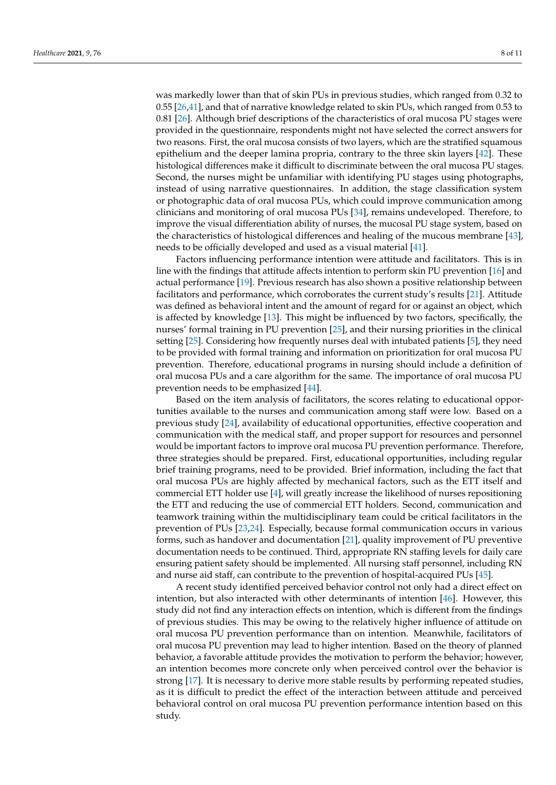was markedly lower than that of skin PUs in previous studies, which ranged from 0.32 to 0.55 [\[26](#page-9-16)[,41\]](#page-10-0), and that of narrative knowledge related to skin PUs, which ranged from 0.53 to 0.81 [\[26\]](#page-9-16). Although brief descriptions of the characteristics of oral mucosa PU stages were provided in the questionnaire, respondents might not have selected the correct answers for two reasons. First, the oral mucosa consists of two layers, which are the stratified squamous epithelium and the deeper lamina propria, contrary to the three skin layers [\[42\]](#page-10-1). These histological differences make it difficult to discriminate between the oral mucosa PU stages. Second, the nurses might be unfamiliar with identifying PU stages using photographs, instead of using narrative questionnaires. In addition, the stage classification system or photographic data of oral mucosa PUs, which could improve communication among clinicians and monitoring of oral mucosa PUs [\[34\]](#page-9-24), remains undeveloped. Therefore, to improve the visual differentiation ability of nurses, the mucosal PU stage system, based on the characteristics of histological differences and healing of the mucous membrane [\[43\]](#page-10-2), needs to be officially developed and used as a visual material [\[41\]](#page-10-0).

Factors influencing performance intention were attitude and facilitators. This is in line with the findings that attitude affects intention to perform skin PU prevention [\[16\]](#page-9-6) and actual performance [\[19\]](#page-9-9). Previous research has also shown a positive relationship between facilitators and performance, which corroborates the current study's results [\[21\]](#page-9-11). Attitude was defined as behavioral intent and the amount of regard for or against an object, which is affected by knowledge [\[13\]](#page-9-3). This might be influenced by two factors, specifically, the nurses' formal training in PU prevention [\[25\]](#page-9-15), and their nursing priorities in the clinical setting [\[25\]](#page-9-15). Considering how frequently nurses deal with intubated patients [\[5\]](#page-8-4), they need to be provided with formal training and information on prioritization for oral mucosa PU prevention. Therefore, educational programs in nursing should include a definition of oral mucosa PUs and a care algorithm for the same. The importance of oral mucosa PU prevention needs to be emphasized [\[44\]](#page-10-3).

Based on the item analysis of facilitators, the scores relating to educational opportunities available to the nurses and communication among staff were low. Based on a previous study [\[24\]](#page-9-14), availability of educational opportunities, effective cooperation and communication with the medical staff, and proper support for resources and personnel would be important factors to improve oral mucosa PU prevention performance. Therefore, three strategies should be prepared. First, educational opportunities, including regular brief training programs, need to be provided. Brief information, including the fact that oral mucosa PUs are highly affected by mechanical factors, such as the ETT itself and commercial ETT holder use [\[4\]](#page-8-3), will greatly increase the likelihood of nurses repositioning the ETT and reducing the use of commercial ETT holders. Second, communication and teamwork training within the multidisciplinary team could be critical facilitators in the prevention of PUs [\[23,](#page-9-13)[24\]](#page-9-14). Especially, because formal communication occurs in various forms, such as handover and documentation [\[21\]](#page-9-11), quality improvement of PU preventive documentation needs to be continued. Third, appropriate RN staffing levels for daily care ensuring patient safety should be implemented. All nursing staff personnel, including RN and nurse aid staff, can contribute to the prevention of hospital-acquired PUs [\[45\]](#page-10-4).

A recent study identified perceived behavior control not only had a direct effect on intention, but also interacted with other determinants of intention [\[46\]](#page-10-5). However, this study did not find any interaction effects on intention, which is different from the findings of previous studies. This may be owing to the relatively higher influence of attitude on oral mucosa PU prevention performance than on intention. Meanwhile, facilitators of oral mucosa PU prevention may lead to higher intention. Based on the theory of planned behavior, a favorable attitude provides the motivation to perform the behavior; however, an intention becomes more concrete only when perceived control over the behavior is strong [\[17\]](#page-9-7). It is necessary to derive more stable results by performing repeated studies, as it is difficult to predict the effect of the interaction between attitude and perceived behavioral control on oral mucosa PU prevention performance intention based on this study.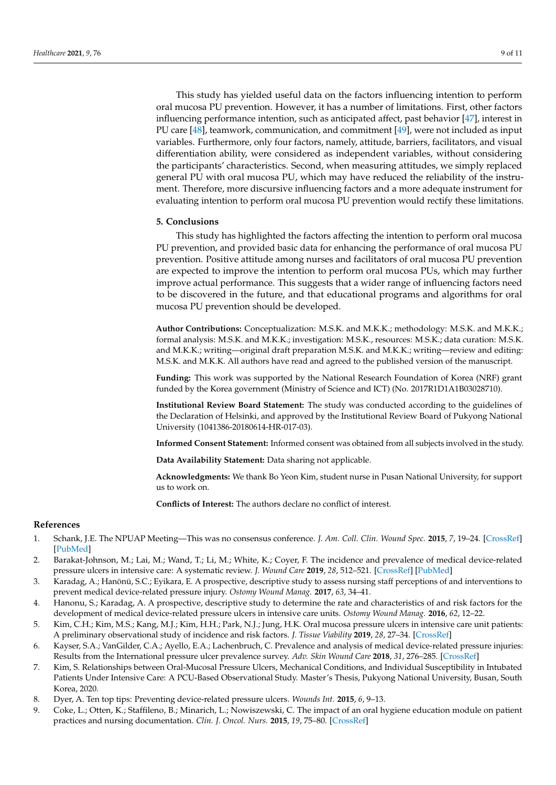This study has yielded useful data on the factors influencing intention to perform oral mucosa PU prevention. However, it has a number of limitations. First, other factors influencing performance intention, such as anticipated affect, past behavior [\[47\]](#page-10-6), interest in PU care [\[48\]](#page-10-7), teamwork, communication, and commitment [\[49\]](#page-10-8), were not included as input variables. Furthermore, only four factors, namely, attitude, barriers, facilitators, and visual differentiation ability, were considered as independent variables, without considering the participants' characteristics. Second, when measuring attitudes, we simply replaced general PU with oral mucosa PU, which may have reduced the reliability of the instrument. Therefore, more discursive influencing factors and a more adequate instrument for evaluating intention to perform oral mucosa PU prevention would rectify these limitations.

#### **5. Conclusions**

This study has highlighted the factors affecting the intention to perform oral mucosa PU prevention, and provided basic data for enhancing the performance of oral mucosa PU prevention. Positive attitude among nurses and facilitators of oral mucosa PU prevention are expected to improve the intention to perform oral mucosa PUs, which may further improve actual performance. This suggests that a wider range of influencing factors need to be discovered in the future, and that educational programs and algorithms for oral mucosa PU prevention should be developed.

**Author Contributions:** Conceptualization: M.S.K. and M.K.K.; methodology: M.S.K. and M.K.K.; formal analysis: M.S.K. and M.K.K.; investigation: M.S.K., resources: M.S.K.; data curation: M.S.K. and M.K.K.; writing—original draft preparation M.S.K. and M.K.K.; writing—review and editing: M.S.K. and M.K.K. All authors have read and agreed to the published version of the manuscript.

**Funding:** This work was supported by the National Research Foundation of Korea (NRF) grant funded by the Korea government (Ministry of Science and ICT) (No. 2017R1D1A1B03028710).

**Institutional Review Board Statement:** The study was conducted according to the guidelines of the Declaration of Helsinki, and approved by the Institutional Review Board of Pukyong National University (1041386-20180614-HR-017-03).

**Informed Consent Statement:** Informed consent was obtained from all subjects involved in the study.

**Data Availability Statement:** Data sharing not applicable.

**Acknowledgments:** We thank Bo Yeon Kim, student nurse in Pusan National University, for support us to work on.

**Conflicts of Interest:** The authors declare no conflict of interest.

#### **References**

- <span id="page-8-0"></span>1. Schank, J.E. The NPUAP Meeting—This was no consensus conference. *J. Am. Coll. Clin. Wound Spec.* **2015**, *7*, 19–24. [\[CrossRef\]](http://doi.org/10.1016/j.jccw.2016.07.001) [\[PubMed\]](http://www.ncbi.nlm.nih.gov/pubmed/28053864)
- <span id="page-8-1"></span>2. Barakat-Johnson, M.; Lai, M.; Wand, T.; Li, M.; White, K.; Coyer, F. The incidence and prevalence of medical device-related pressure ulcers in intensive care: A systematic review. *J. Wound Care* **2019**, *28*, 512–521. [\[CrossRef\]](http://doi.org/10.12968/jowc.2019.28.8.512) [\[PubMed\]](http://www.ncbi.nlm.nih.gov/pubmed/31393800)
- <span id="page-8-2"></span>3. Karadag, A.; Hanönü, S.C.; Eyikara, E. A prospective, descriptive study to assess nursing staff perceptions of and interventions to prevent medical device-related pressure injury. *Ostomy Wound Manag.* **2017**, *63*, 34–41.
- <span id="page-8-3"></span>4. Hanonu, S.; Karadag, A. A prospective, descriptive study to determine the rate and characteristics of and risk factors for the development of medical device-related pressure ulcers in intensive care units. *Ostomy Wound Manag.* **2016**, *62*, 12–22.
- <span id="page-8-4"></span>5. Kim, C.H.; Kim, M.S.; Kang, M.J.; Kim, H.H.; Park, N.J.; Jung, H.K. Oral mucosa pressure ulcers in intensive care unit patients: A preliminary observational study of incidence and risk factors. *J. Tissue Viability* **2019**, *28*, 27–34. [\[CrossRef\]](http://doi.org/10.1016/j.jtv.2018.11.002)
- <span id="page-8-5"></span>6. Kayser, S.A.; VanGilder, C.A.; Ayello, E.A.; Lachenbruch, C. Prevalence and analysis of medical device-related pressure injuries: Results from the International pressure ulcer prevalence survey. *Adv. Skin Wound Care* **2018**, *31*, 276–285. [\[CrossRef\]](http://doi.org/10.1097/01.ASW.0000532475.11971.aa)
- <span id="page-8-6"></span>7. Kim, S. Relationships between Oral-Mucosal Pressure Ulcers, Mechanical Conditions, and Individual Susceptibility in Intubated Patients Under Intensive Care: A PCU-Based Observational Study. Master's Thesis, Pukyong National University, Busan, South Korea, 2020.
- <span id="page-8-7"></span>8. Dyer, A. Ten top tips: Preventing device-related pressure ulcers. *Wounds Int.* **2015**, *6*, 9–13.
- <span id="page-8-8"></span>9. Coke, L.; Otten, K.; Staffileno, B.; Minarich, L.; Nowiszewski, C. The impact of an oral hygiene education module on patient practices and nursing documentation. *Clin. J. Oncol. Nurs.* **2015**, *19*, 75–80. [\[CrossRef\]](http://doi.org/10.1188/15.CJON.75-80)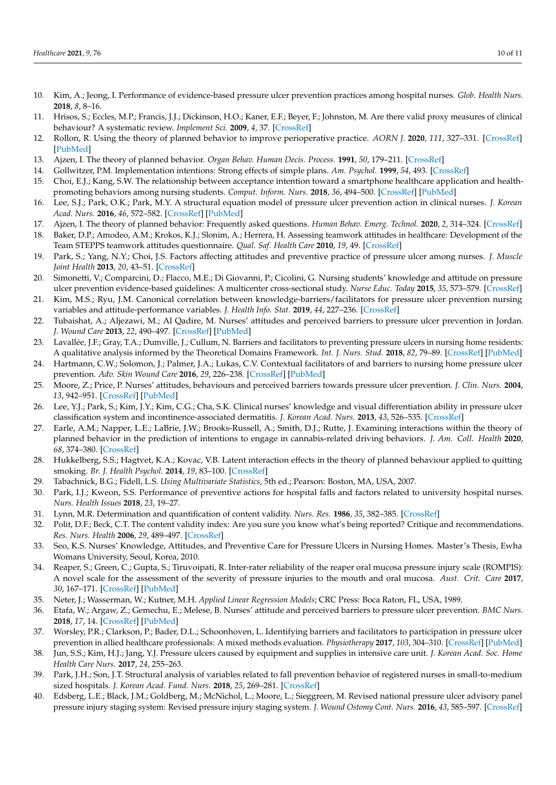- <span id="page-9-0"></span>10. Kim, A.; Jeong, I. Performance of evidence-based pressure ulcer prevention practices among hospital nurses. *Glob. Health Nurs.* **2018**, *8*, 8–16.
- <span id="page-9-1"></span>11. Hrisos, S.; Eccles, M.P.; Francis, J.J.; Dickinson, H.O.; Kaner, E.F.; Beyer, F.; Johnston, M. Are there valid proxy measures of clinical behaviour? A systematic review. *Implement Sci.* **2009**, *4*, 37. [\[CrossRef\]](http://doi.org/10.1186/1748-5908-4-37)
- <span id="page-9-2"></span>12. Rollon, R. Using the theory of planned behavior to improve perioperative practice. *AORN J.* **2020**, *111*, 327–331. [\[CrossRef\]](http://doi.org/10.1002/aorn.12959) [\[PubMed\]](http://www.ncbi.nlm.nih.gov/pubmed/32128775)
- <span id="page-9-3"></span>13. Ajzen, I. The theory of planned behavior. *Organ Behav. Human Decis. Process.* **1991**, *50*, 179–211. [\[CrossRef\]](http://doi.org/10.1016/0749-5978(91)90020-T)
- <span id="page-9-4"></span>14. Gollwitzer, P.M. Implementation intentions: Strong effects of simple plans. *Am. Psychol.* **1999**, *54*, 493. [\[CrossRef\]](http://doi.org/10.1037/0003-066X.54.7.493)
- <span id="page-9-5"></span>15. Choi, E.J.; Kang, S.W. The relationship between acceptance intention toward a smartphone healthcare application and healthpromoting behaviors among nursing students. *Comput. Inform. Nurs.* **2018**, *36*, 494–500. [\[CrossRef\]](http://doi.org/10.1097/CIN.0000000000000433) [\[PubMed\]](http://www.ncbi.nlm.nih.gov/pubmed/30303486)
- <span id="page-9-6"></span>16. Lee, S.J.; Park, O.K.; Park, M.Y. A structural equation model of pressure ulcer prevention action in clinical nurses. *J. Korean Acad. Nurs.* **2016**, *46*, 572–582. [\[CrossRef\]](http://doi.org/10.4040/jkan.2016.46.4.572) [\[PubMed\]](http://www.ncbi.nlm.nih.gov/pubmed/27615047)
- <span id="page-9-8"></span><span id="page-9-7"></span>17. Ajzen, I. The theory of planned behavior: Frequently asked questions. *Human Behav. Emerg. Technol.* **2020**, *2*, 314–324. [\[CrossRef\]](http://doi.org/10.1002/hbe2.195) 18. Baker, D.P.; Amodeo, A.M.; Krokos, K.J.; Slonim, A.; Herrera, H. Assessing teamwork attitudes in healthcare: Development of the
- <span id="page-9-9"></span>Team STEPPS teamwork attitudes questionnaire. *Qual. Saf. Health Care* **2010**, *19*, 49. [\[CrossRef\]](http://doi.org/10.1136/qshc.2009.036129) 19. Park, S.; Yang, N.Y.; Choi, J.S. Factors affecting attitudes and preventive practice of pressure ulcer among nurses. *J. Muscle Joint Health* **2013**, *20*, 43–51. [\[CrossRef\]](http://doi.org/10.5953/JMJH.2013.20.1.43)
- <span id="page-9-10"></span>20. Simonetti, V.; Comparcini, D.; Flacco, M.E.; Di Giovanni, P.; Cicolini, G. Nursing students' knowledge and attitude on pressure ulcer prevention evidence-based guidelines: A multicenter cross-sectional study. *Nurse Educ. Today* **2015**, *35*, 573–579. [\[CrossRef\]](http://doi.org/10.1016/j.nedt.2014.12.020)
- <span id="page-9-11"></span>21. Kim, M.S.; Ryu, J.M. Canonical correlation between knowledge-barriers/facilitators for pressure ulcer prevention nursing variables and attitude-performance variables. *J. Health Info. Stat.* **2019**, *44*, 227–236. [\[CrossRef\]](http://doi.org/10.21032/jhis.2019.44.3.227)
- <span id="page-9-12"></span>22. Tubaishat, A.; Aljezawi, M.; Al Qadire, M. Nurses' attitudes and perceived barriers to pressure ulcer prevention in Jordan. *J. Wound Care* **2013**, *22*, 490–497. [\[CrossRef\]](http://doi.org/10.12968/jowc.2013.22.9.490) [\[PubMed\]](http://www.ncbi.nlm.nih.gov/pubmed/24005783)
- <span id="page-9-13"></span>23. Lavallée, J.F.; Gray, T.A.; Dumville, J.; Cullum, N. Barriers and facilitators to preventing pressure ulcers in nursing home residents: A qualitative analysis informed by the Theoretical Domains Framework. *Int. J. Nurs. Stud.* **2018**, *82*, 79–89. [\[CrossRef\]](http://doi.org/10.1016/j.ijnurstu.2017.12.015) [\[PubMed\]](http://www.ncbi.nlm.nih.gov/pubmed/29626701)
- <span id="page-9-14"></span>24. Hartmann, C.W.; Solomon, J.; Palmer, J.A.; Lukas, C.V. Contextual facilitators of and barriers to nursing home pressure ulcer prevention. *Adv. Skin Wound Care* **2016**, *29*, 226–238. [\[CrossRef\]](http://doi.org/10.1097/01.ASW.0000482113.18800.1c) [\[PubMed\]](http://www.ncbi.nlm.nih.gov/pubmed/27089151)
- <span id="page-9-15"></span>25. Moore, Z.; Price, P. Nurses' attitudes, behaviours and perceived barriers towards pressure ulcer prevention. *J. Clin. Nurs.* **2004**, *13*, 942–951. [\[CrossRef\]](http://doi.org/10.1111/j.1365-2702.2004.00972.x) [\[PubMed\]](http://www.ncbi.nlm.nih.gov/pubmed/15533100)
- <span id="page-9-16"></span>26. Lee, Y.J.; Park, S.; Kim, J.Y.; Kim, C.G.; Cha, S.K. Clinical nurses' knowledge and visual differentiation ability in pressure ulcer classification system and incontinence-associated dermatitis. *J. Korean Acad. Nurs.* **2013**, *43*, 526–535. [\[CrossRef\]](http://doi.org/10.4040/jkan.2013.43.4.526)
- <span id="page-9-17"></span>27. Earle, A.M.; Napper, L.E.; LaBrie, J.W.; Brooks-Russell, A.; Smith, D.J.; Rutte, J. Examining interactions within the theory of planned behavior in the prediction of intentions to engage in cannabis-related driving behaviors. *J. Am. Coll. Health* **2020**, *68*, 374–380. [\[CrossRef\]](http://doi.org/10.1080/07448481.2018.1557197)
- <span id="page-9-18"></span>28. Hukkelberg, S.S.; Hagtvet, K.A.; Kovac, V.B. Latent interaction effects in the theory of planned behaviour applied to quitting smoking. *Br. J. Health Psychol.* **2014**, *19*, 83–100. [\[CrossRef\]](http://doi.org/10.1111/bjhp.12034)
- <span id="page-9-19"></span>29. Tabachnick, B.G.; Fidell, L.S. *Using Multivariate Statistics*, 5th ed.; Pearson: Boston, MA, USA, 2007.
- <span id="page-9-20"></span>30. Park, I.J.; Kweon, S.S. Performance of preventive actions for hospital falls and factors related to university hospital nurses. *Nurs. Health Issues* **2018**, *23*, 19–27.
- <span id="page-9-21"></span>31. Lynn, M.R. Determination and quantification of content validity. *Nurs. Res.* **1986**, *35*, 382–385. [\[CrossRef\]](http://doi.org/10.1097/00006199-198611000-00017)
- <span id="page-9-22"></span>32. Polit, D.F.; Beck, C.T. The content validity index: Are you sure you know what's being reported? Critique and recommendations. *Res. Nurs. Health* **2006**, *29*, 489–497. [\[CrossRef\]](http://doi.org/10.1002/nur.20147)
- <span id="page-9-23"></span>33. Seo, K.S. Nurses' Knowledge, Attitudes, and Preventive Care for Pressure Ulcers in Nursing Homes. Master's Thesis, Ewha Womans University, Seoul, Korea, 2010.
- <span id="page-9-24"></span>34. Reaper, S.; Green, C.; Gupta, S.; Tiruvoipati, R. Inter-rater reliability of the reaper oral mucosa pressure injury scale (ROMPIS): A novel scale for the assessment of the severity of pressure injuries to the mouth and oral mucosa. *Aust. Crit. Care* **2017**, *30*, 167–171. [\[CrossRef\]](http://doi.org/10.1016/j.aucc.2016.06.003) [\[PubMed\]](http://www.ncbi.nlm.nih.gov/pubmed/27401598)
- <span id="page-9-25"></span>35. Neter, J.; Wasserman, W.; Kutner, M.H. *Applied Linear Regression Models*; CRC Press: Boca Raton, FL, USA, 1989.
- <span id="page-9-26"></span>36. Etafa, W.; Argaw, Z.; Gemechu, E.; Melese, B. Nurses' attitude and perceived barriers to pressure ulcer prevention. *BMC Nurs.* **2018**, *17*, 14. [\[CrossRef\]](http://doi.org/10.1186/s12912-018-0282-2) [\[PubMed\]](http://www.ncbi.nlm.nih.gov/pubmed/29686535)
- <span id="page-9-27"></span>37. Worsley, P.R.; Clarkson, P.; Bader, D.L.; Schoonhoven, L. Identifying barriers and facilitators to participation in pressure ulcer prevention in allied healthcare professionals: A mixed methods evaluation. *Physiotherapy* **2017**, *103*, 304–310. [\[CrossRef\]](http://doi.org/10.1016/j.physio.2016.02.005) [\[PubMed\]](http://www.ncbi.nlm.nih.gov/pubmed/27033782)
- <span id="page-9-28"></span>38. Jun, S.S.; Kim, H.J.; Jang, Y.J. Pressure ulcers caused by equipment and supplies in intensive care unit. *J. Korean Acad. Soc. Home Health Care Nurs.* **2017**, *24*, 255–263.
- <span id="page-9-29"></span>39. Park, J.H.; Son, J.T. Structural analysis of variables related to fall prevention behavior of registered nurses in small-to-medium sized hospitals. *J. Korean Acad. Fund. Nurs.* **2018**, *25*, 269–281. [\[CrossRef\]](http://doi.org/10.7739/jkafn.2018.25.4.269)
- <span id="page-9-30"></span>40. Edsberg, L.E.; Black, J.M.; Goldberg, M.; McNichol, L.; Moore, L.; Sieggreen, M. Revised national pressure ulcer advisory panel pressure injury staging system: Revised pressure injury staging system. *J. Wound Ostomy Cont. Nurs.* **2016**, *43*, 585–597. [\[CrossRef\]](http://doi.org/10.1097/WON.0000000000000281)